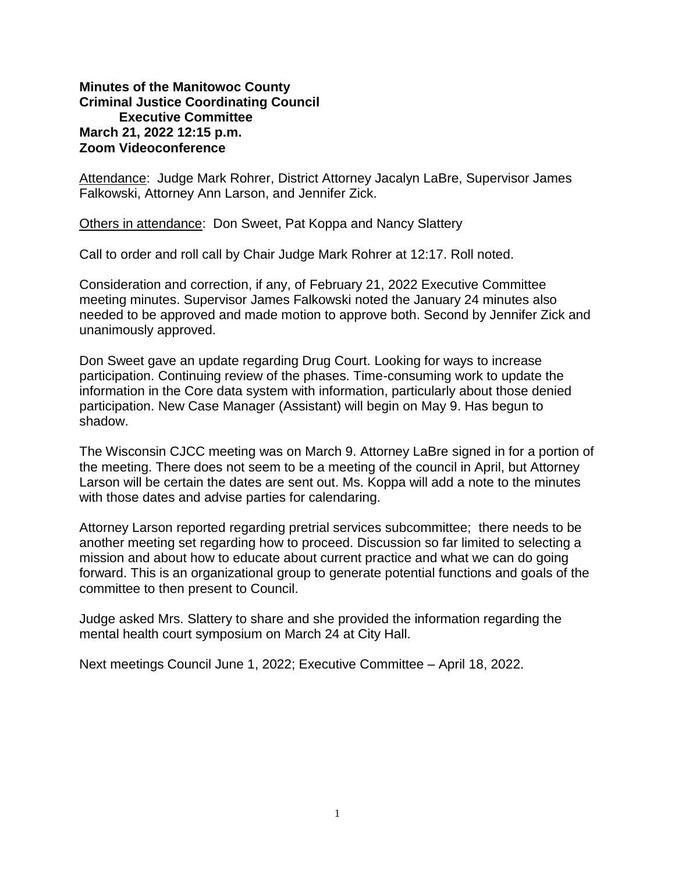## **Minutes of the Manitowoc County Criminal Justice Coordinating Council Executive Committee March 21, 2022 12:15 p.m. Zoom Videoconference**

Attendance: Judge Mark Rohrer, District Attorney Jacalyn LaBre, Supervisor James Falkowski, Attorney Ann Larson, and Jennifer Zick.

Others in attendance: Don Sweet, Pat Koppa and Nancy Slattery

Call to order and roll call by Chair Judge Mark Rohrer at 12:17. Roll noted.

Consideration and correction, if any, of February 21, 2022 Executive Committee meeting minutes. Supervisor James Falkowski noted the January 24 minutes also needed to be approved and made motion to approve both. Second by Jennifer Zick and unanimously approved.

Don Sweet gave an update regarding Drug Court. Looking for ways to increase participation. Continuing review of the phases. Time-consuming work to update the information in the Core data system with information, particularly about those denied participation. New Case Manager (Assistant) will begin on May 9. Has begun to shadow.

The Wisconsin CJCC meeting was on March 9. Attorney LaBre signed in for a portion of the meeting. There does not seem to be a meeting of the council in April, but Attorney Larson will be certain the dates are sent out. Ms. Koppa will add a note to the minutes with those dates and advise parties for calendaring.

Attorney Larson reported regarding pretrial services subcommittee; there needs to be another meeting set regarding how to proceed. Discussion so far limited to selecting a mission and about how to educate about current practice and what we can do going forward. This is an organizational group to generate potential functions and goals of the committee to then present to Council.

Judge asked Mrs. Slattery to share and she provided the information regarding the mental health court symposium on March 24 at City Hall.

Next meetings Council June 1, 2022; Executive Committee – April 18, 2022.